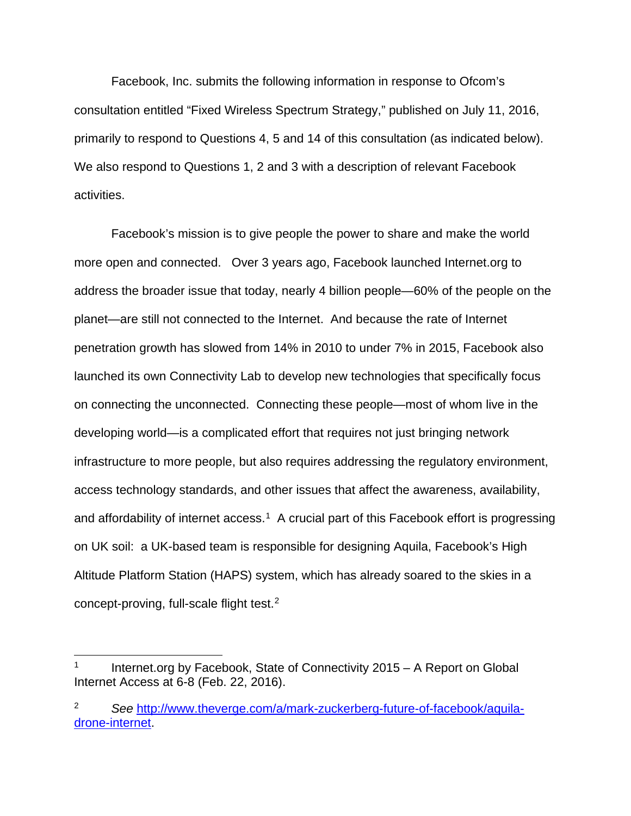Facebook, Inc. submits the following information in response to Ofcom's consultation entitled "Fixed Wireless Spectrum Strategy," published on July 11, 2016, primarily to respond to Questions 4, 5 and 14 of this consultation (as indicated below). We also respond to Questions 1, 2 and 3 with a description of relevant Facebook activities.

Facebook's mission is to give people the power to share and make the world more open and connected. Over 3 years ago, Facebook launched Internet.org to address the broader issue that today, nearly 4 billion people—60% of the people on the planet—are still not connected to the Internet. And because the rate of Internet penetration growth has slowed from 14% in 2010 to under 7% in 2015, Facebook also launched its own Connectivity Lab to develop new technologies that specifically focus on connecting the unconnected. Connecting these people—most of whom live in the developing world—is a complicated effort that requires not just bringing network infrastructure to more people, but also requires addressing the regulatory environment, access technology standards, and other issues that affect the awareness, availability, and affordability of internet access.<sup>[1](#page-0-0)</sup> A crucial part of this Facebook effort is progressing on UK soil: a UK-based team is responsible for designing Aquila, Facebook's High Altitude Platform Station (HAPS) system, which has already soared to the skies in a concept-proving, full-scale flight test.[2](#page-0-1)

<span id="page-0-0"></span>Internet.org by Facebook, State of Connectivity 2015 – A Report on Global Internet Access at 6-8 (Feb. 22, 2016).

<span id="page-0-1"></span><sup>2</sup> *See* [http://www.theverge.com/a/mark-zuckerberg-future-of-facebook/aquila](http://www.theverge.com/a/mark-zuckerberg-future-of-facebook/aquila-drone-internet)[drone-internet.](http://www.theverge.com/a/mark-zuckerberg-future-of-facebook/aquila-drone-internet)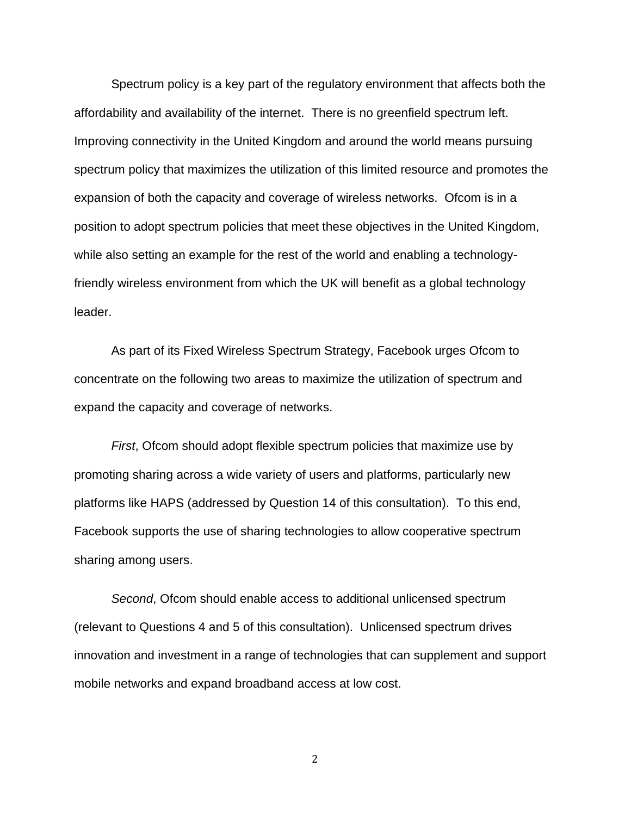Spectrum policy is a key part of the regulatory environment that affects both the affordability and availability of the internet. There is no greenfield spectrum left. Improving connectivity in the United Kingdom and around the world means pursuing spectrum policy that maximizes the utilization of this limited resource and promotes the expansion of both the capacity and coverage of wireless networks. Ofcom is in a position to adopt spectrum policies that meet these objectives in the United Kingdom, while also setting an example for the rest of the world and enabling a technologyfriendly wireless environment from which the UK will benefit as a global technology leader.

As part of its Fixed Wireless Spectrum Strategy, Facebook urges Ofcom to concentrate on the following two areas to maximize the utilization of spectrum and expand the capacity and coverage of networks.

*First*, Ofcom should adopt flexible spectrum policies that maximize use by promoting sharing across a wide variety of users and platforms, particularly new platforms like HAPS (addressed by Question 14 of this consultation). To this end, Facebook supports the use of sharing technologies to allow cooperative spectrum sharing among users.

*Second*, Ofcom should enable access to additional unlicensed spectrum (relevant to Questions 4 and 5 of this consultation). Unlicensed spectrum drives innovation and investment in a range of technologies that can supplement and support mobile networks and expand broadband access at low cost.

2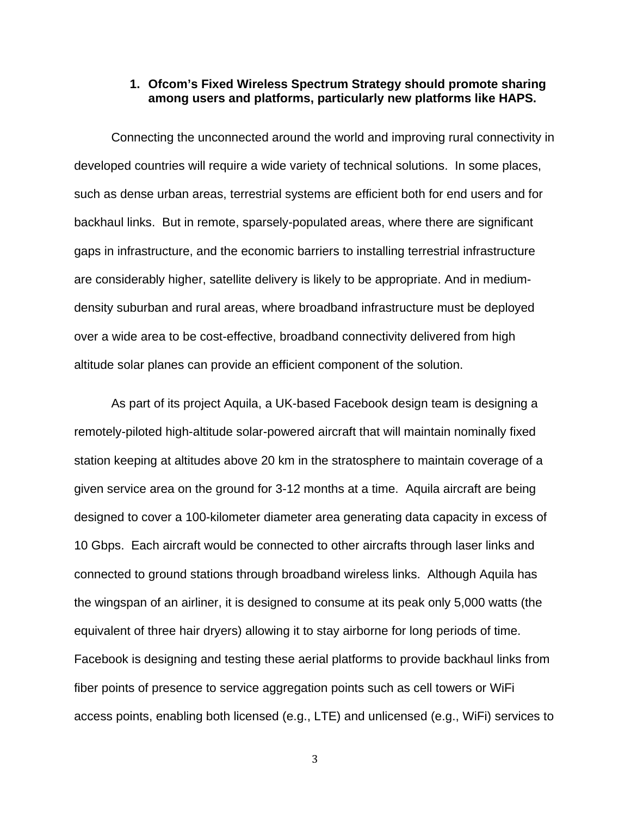## **1. Ofcom's Fixed Wireless Spectrum Strategy should promote sharing among users and platforms, particularly new platforms like HAPS.**

Connecting the unconnected around the world and improving rural connectivity in developed countries will require a wide variety of technical solutions. In some places, such as dense urban areas, terrestrial systems are efficient both for end users and for backhaul links. But in remote, sparsely-populated areas, where there are significant gaps in infrastructure, and the economic barriers to installing terrestrial infrastructure are considerably higher, satellite delivery is likely to be appropriate. And in mediumdensity suburban and rural areas, where broadband infrastructure must be deployed over a wide area to be cost-effective, broadband connectivity delivered from high altitude solar planes can provide an efficient component of the solution.

As part of its project Aquila, a UK-based Facebook design team is designing a remotely-piloted high-altitude solar-powered aircraft that will maintain nominally fixed station keeping at altitudes above 20 km in the stratosphere to maintain coverage of a given service area on the ground for 3-12 months at a time. Aquila aircraft are being designed to cover a 100-kilometer diameter area generating data capacity in excess of 10 Gbps. Each aircraft would be connected to other aircrafts through laser links and connected to ground stations through broadband wireless links. Although Aquila has the wingspan of an airliner, it is designed to consume at its peak only 5,000 watts (the equivalent of three hair dryers) allowing it to stay airborne for long periods of time. Facebook is designing and testing these aerial platforms to provide backhaul links from fiber points of presence to service aggregation points such as cell towers or WiFi access points, enabling both licensed (e.g., LTE) and unlicensed (e.g., WiFi) services to

3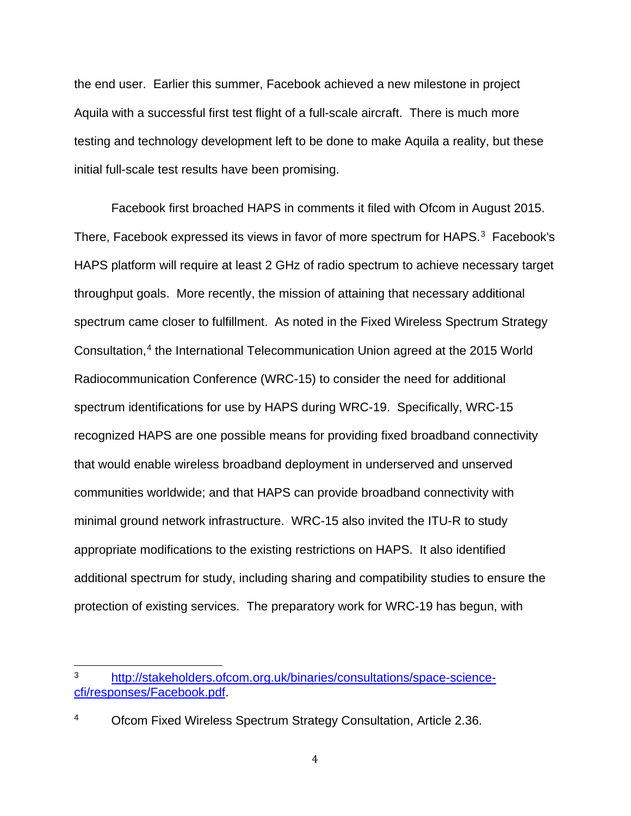the end user. Earlier this summer, Facebook achieved a new milestone in project Aquila with a successful first test flight of a full-scale aircraft. There is much more testing and technology development left to be done to make Aquila a reality, but these initial full-scale test results have been promising.

Facebook first broached HAPS in comments it filed with Ofcom in August 2015. There, Facebook expressed its views in favor of more spectrum for HAPS.<sup>[3](#page-3-0)</sup> Facebook's HAPS platform will require at least 2 GHz of radio spectrum to achieve necessary target throughput goals. More recently, the mission of attaining that necessary additional spectrum came closer to fulfillment. As noted in the Fixed Wireless Spectrum Strategy Consultation,[4](#page-3-1) the International Telecommunication Union agreed at the 2015 World Radiocommunication Conference (WRC-15) to consider the need for additional spectrum identifications for use by HAPS during WRC-19. Specifically, WRC-15 recognized HAPS are one possible means for providing fixed broadband connectivity that would enable wireless broadband deployment in underserved and unserved communities worldwide; and that HAPS can provide broadband connectivity with minimal ground network infrastructure. WRC-15 also invited the ITU-R to study appropriate modifications to the existing restrictions on HAPS. It also identified additional spectrum for study, including sharing and compatibility studies to ensure the protection of existing services. The preparatory work for WRC-19 has begun, with

<span id="page-3-0"></span><sup>3</sup> [http://stakeholders.ofcom.org.uk/binaries/consultations/space-science](http://stakeholders.ofcom.org.uk/binaries/consultations/space-science-cfi/responses/Facebook.pdf)[cfi/responses/Facebook.pdf.](http://stakeholders.ofcom.org.uk/binaries/consultations/space-science-cfi/responses/Facebook.pdf)

<span id="page-3-1"></span><sup>4</sup> Ofcom Fixed Wireless Spectrum Strategy Consultation, Article 2.36.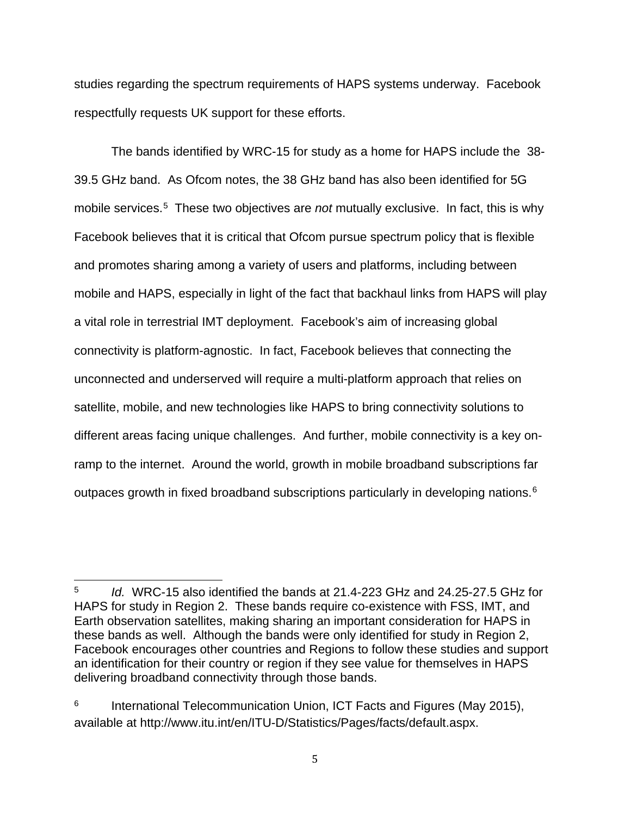studies regarding the spectrum requirements of HAPS systems underway. Facebook respectfully requests UK support for these efforts.

The bands identified by WRC-15 for study as a home for HAPS include the 38- 39.5 GHz band. As Ofcom notes, the 38 GHz band has also been identified for 5G mobile services.[5](#page-4-0) These two objectives are *not* mutually exclusive. In fact, this is why Facebook believes that it is critical that Ofcom pursue spectrum policy that is flexible and promotes sharing among a variety of users and platforms, including between mobile and HAPS, especially in light of the fact that backhaul links from HAPS will play a vital role in terrestrial IMT deployment. Facebook's aim of increasing global connectivity is platform-agnostic. In fact, Facebook believes that connecting the unconnected and underserved will require a multi-platform approach that relies on satellite, mobile, and new technologies like HAPS to bring connectivity solutions to different areas facing unique challenges. And further, mobile connectivity is a key onramp to the internet. Around the world, growth in mobile broadband subscriptions far outpaces growth in fixed broadband subscriptions particularly in developing nations.<sup>[6](#page-4-1)</sup>

<span id="page-4-0"></span><sup>5</sup> *Id.* WRC-15 also identified the bands at 21.4-223 GHz and 24.25-27.5 GHz for HAPS for study in Region 2. These bands require co-existence with FSS, IMT, and Earth observation satellites, making sharing an important consideration for HAPS in these bands as well. Although the bands were only identified for study in Region 2, Facebook encourages other countries and Regions to follow these studies and support an identification for their country or region if they see value for themselves in HAPS delivering broadband connectivity through those bands.

<span id="page-4-1"></span> $6$  International Telecommunication Union, ICT Facts and Figures (May 2015), available at http://www.itu.int/en/ITU-D/Statistics/Pages/facts/default.aspx.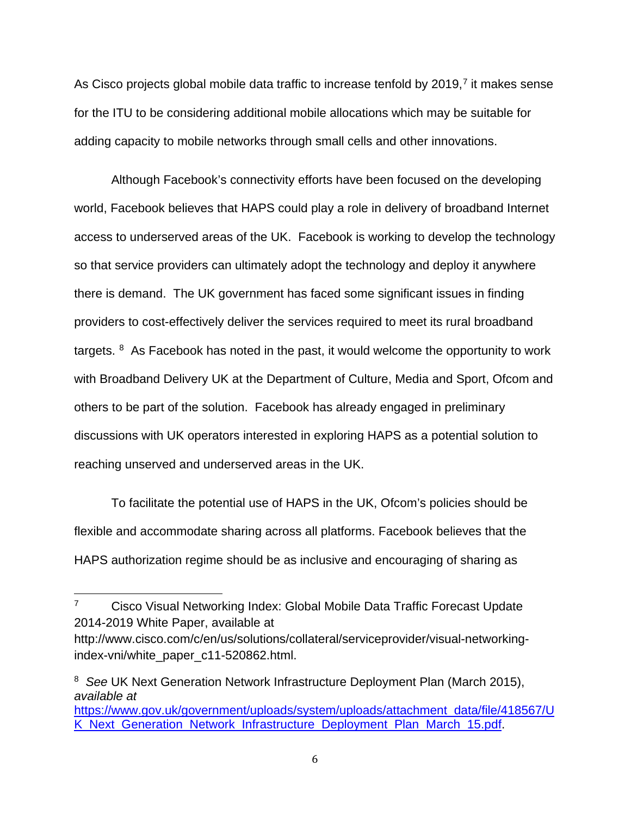As Cisco projects global mobile data traffic to increase tenfold by 2019,<sup>[7](#page-5-0)</sup> it makes sense for the ITU to be considering additional mobile allocations which may be suitable for adding capacity to mobile networks through small cells and other innovations.

Although Facebook's connectivity efforts have been focused on the developing world, Facebook believes that HAPS could play a role in delivery of broadband Internet access to underserved areas of the UK. Facebook is working to develop the technology so that service providers can ultimately adopt the technology and deploy it anywhere there is demand. The UK government has faced some significant issues in finding providers to cost-effectively deliver the services required to meet its rural broadband targets.  $8$  As Facebook has noted in the past, it would welcome the opportunity to work with Broadband Delivery UK at the Department of Culture, Media and Sport, Ofcom and others to be part of the solution. Facebook has already engaged in preliminary discussions with UK operators interested in exploring HAPS as a potential solution to reaching unserved and underserved areas in the UK.

To facilitate the potential use of HAPS in the UK, Ofcom's policies should be flexible and accommodate sharing across all platforms. Facebook believes that the HAPS authorization regime should be as inclusive and encouraging of sharing as

<span id="page-5-0"></span><sup>&</sup>lt;sup>7</sup> Cisco Visual Networking Index: Global Mobile Data Traffic Forecast Update 2014-2019 White Paper, available at

http://www.cisco.com/c/en/us/solutions/collateral/serviceprovider/visual-networkingindex-vni/white\_paper\_c11-520862.html.

<span id="page-5-1"></span><sup>8</sup> *See* UK Next Generation Network Infrastructure Deployment Plan (March 2015), *available at*

[https://www.gov.uk/government/uploads/system/uploads/attachment\\_data/file/418567/U](https://www.gov.uk/government/uploads/system/uploads/attachment_data/file/418567/UK_Next_Generation_Network_Infrastructure_Deployment_Plan_March_15.pdf) [K\\_Next\\_Generation\\_Network\\_Infrastructure\\_Deployment\\_Plan\\_March\\_15.pdf.](https://www.gov.uk/government/uploads/system/uploads/attachment_data/file/418567/UK_Next_Generation_Network_Infrastructure_Deployment_Plan_March_15.pdf)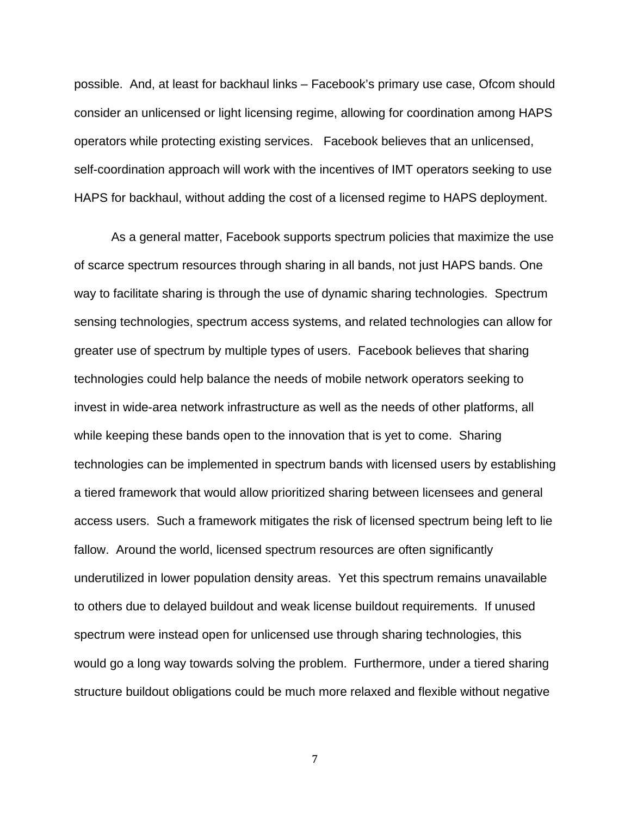possible. And, at least for backhaul links – Facebook's primary use case, Ofcom should consider an unlicensed or light licensing regime, allowing for coordination among HAPS operators while protecting existing services. Facebook believes that an unlicensed, self-coordination approach will work with the incentives of IMT operators seeking to use HAPS for backhaul, without adding the cost of a licensed regime to HAPS deployment.

As a general matter, Facebook supports spectrum policies that maximize the use of scarce spectrum resources through sharing in all bands, not just HAPS bands. One way to facilitate sharing is through the use of dynamic sharing technologies. Spectrum sensing technologies, spectrum access systems, and related technologies can allow for greater use of spectrum by multiple types of users. Facebook believes that sharing technologies could help balance the needs of mobile network operators seeking to invest in wide-area network infrastructure as well as the needs of other platforms, all while keeping these bands open to the innovation that is yet to come. Sharing technologies can be implemented in spectrum bands with licensed users by establishing a tiered framework that would allow prioritized sharing between licensees and general access users. Such a framework mitigates the risk of licensed spectrum being left to lie fallow. Around the world, licensed spectrum resources are often significantly underutilized in lower population density areas. Yet this spectrum remains unavailable to others due to delayed buildout and weak license buildout requirements. If unused spectrum were instead open for unlicensed use through sharing technologies, this would go a long way towards solving the problem. Furthermore, under a tiered sharing structure buildout obligations could be much more relaxed and flexible without negative

7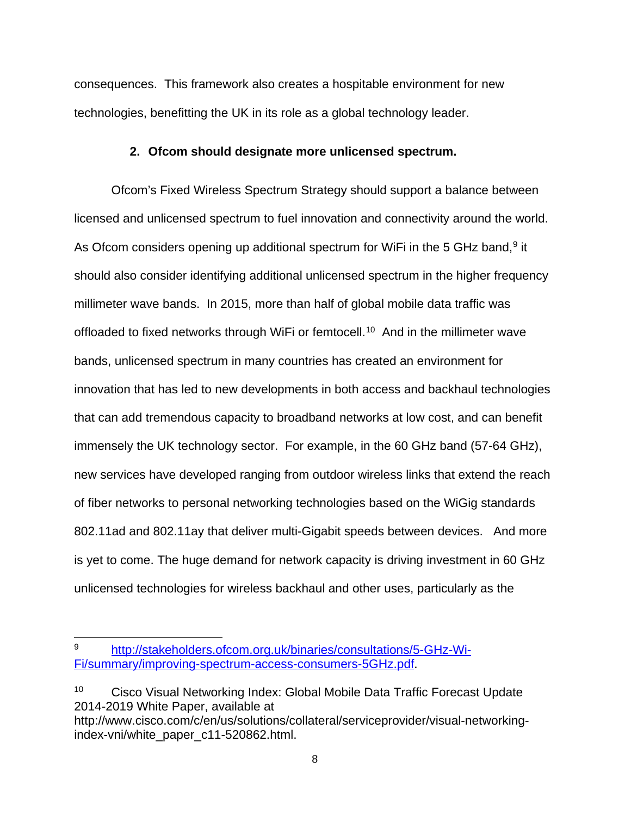consequences. This framework also creates a hospitable environment for new technologies, benefitting the UK in its role as a global technology leader.

## **2. Ofcom should designate more unlicensed spectrum.**

Ofcom's Fixed Wireless Spectrum Strategy should support a balance between licensed and unlicensed spectrum to fuel innovation and connectivity around the world. As Ofcom considers opening up additional spectrum for WiFi in the 5 GHz band,<sup>[9](#page-7-0)</sup> it should also consider identifying additional unlicensed spectrum in the higher frequency millimeter wave bands. In 2015, more than half of global mobile data traffic was offloaded to fixed networks through WiFi or femtocell.<sup>[10](#page-7-1)</sup> And in the millimeter wave bands, unlicensed spectrum in many countries has created an environment for innovation that has led to new developments in both access and backhaul technologies that can add tremendous capacity to broadband networks at low cost, and can benefit immensely the UK technology sector. For example, in the 60 GHz band (57-64 GHz), new services have developed ranging from outdoor wireless links that extend the reach of fiber networks to personal networking technologies based on the WiGig standards 802.11ad and 802.11ay that deliver multi-Gigabit speeds between devices. And more is yet to come. The huge demand for network capacity is driving investment in 60 GHz unlicensed technologies for wireless backhaul and other uses, particularly as the

<span id="page-7-0"></span><sup>9</sup> [http://stakeholders.ofcom.org.uk/binaries/consultations/5-GHz-Wi-](http://stakeholders.ofcom.org.uk/binaries/consultations/5-GHz-Wi-Fi/summary/improving-spectrum-access-consumers-5GHz.pdf)[Fi/summary/improving-spectrum-access-consumers-5GHz.pdf.](http://stakeholders.ofcom.org.uk/binaries/consultations/5-GHz-Wi-Fi/summary/improving-spectrum-access-consumers-5GHz.pdf)

<span id="page-7-1"></span><sup>&</sup>lt;sup>10</sup> Cisco Visual Networking Index: Global Mobile Data Traffic Forecast Update 2014-2019 White Paper, available at

http://www.cisco.com/c/en/us/solutions/collateral/serviceprovider/visual-networkingindex-vni/white\_paper\_c11-520862.html.